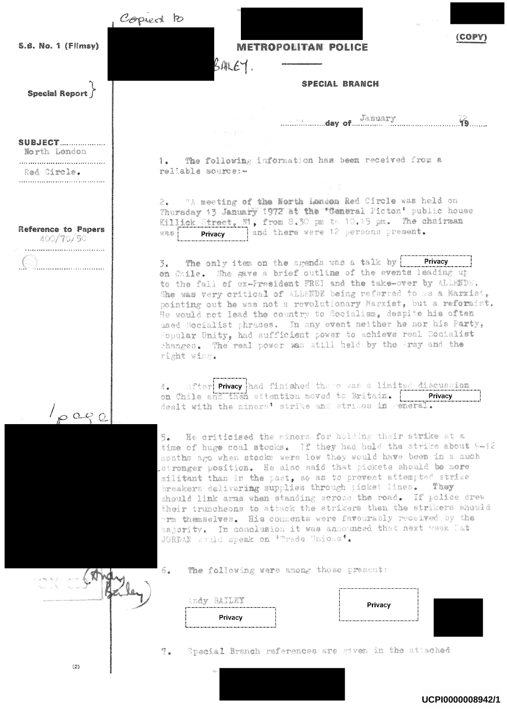Copied to (COPY) S.B. No. 1 (Flimsv) **METROPOLITAN POLICE**  $BALE$ **SPECIAL BRANCH Special Report** January 19 **SUBJECT...................** North London 1. The following information has been received from a reliable source: -Red Circle. 2. "A meeting of the North Landon Red Circle was held on Thursday 13 January 1972 at the "Ceneral Picton' public house Killick Street, N', from 8.30 pm to 10.15 pm. The chairman Reference to Papers  $X \circledast \circ \Box$ land there were 12 persons present. Privacy |  $-400/70/50$ **Privacy**  $5.$  The only item on the agenda was a talk by  $\boxed{\phantom{1}}$ on Chile. She gave a brief outline of the events leading up to the fall of ex-President FREI and the take-over by ALLEMDE. She was very critical of ALLENDE being referred to as a Marxist, pointing out he was not a revolutionary Marxist, but a reformist. He would not lead the country to Socialism, despite his often used Socialist phrases. In any event neither he nor his Party, Fopular Unity, had sufficient power to achieve real Socialist changes. The real power was still held by the Army and the right wing. 4. After Privacy had finished there was a limited discussion on Chile and then attention moved to Britain. | Privacy dealt with the miners' strike and strikes in general.  $1\rho$  age 5. He criticised the miners for holding their strike at a time of huge coal stocks. If they had held the strike about 5-12 months ago when stocks were low they would have been in a much stronger position. He also said that pickets should be more militant than in the past, so as to prevent attempted strike breakers delivering supplies through picket lines. They should link arms when standing across the road. If police drew their truncheons to attack the strikers then the strikers should orm themselves. His comments were favourably received by the majority. In conclusion it was announced that next week lat JORDAN would speak on 'Trade Unions'. 6. The following were among those present: the length Andy RAILEY Privacy Privacy 7. Special Branch references are given in the attached  $(2)$ 

UCPI0000008942/1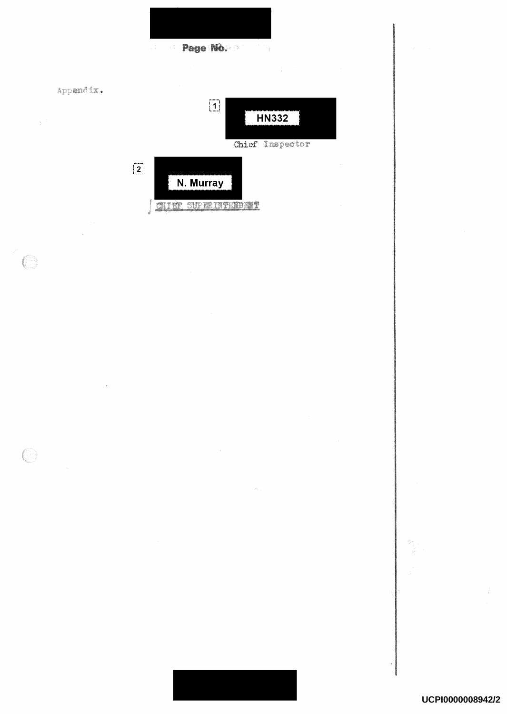